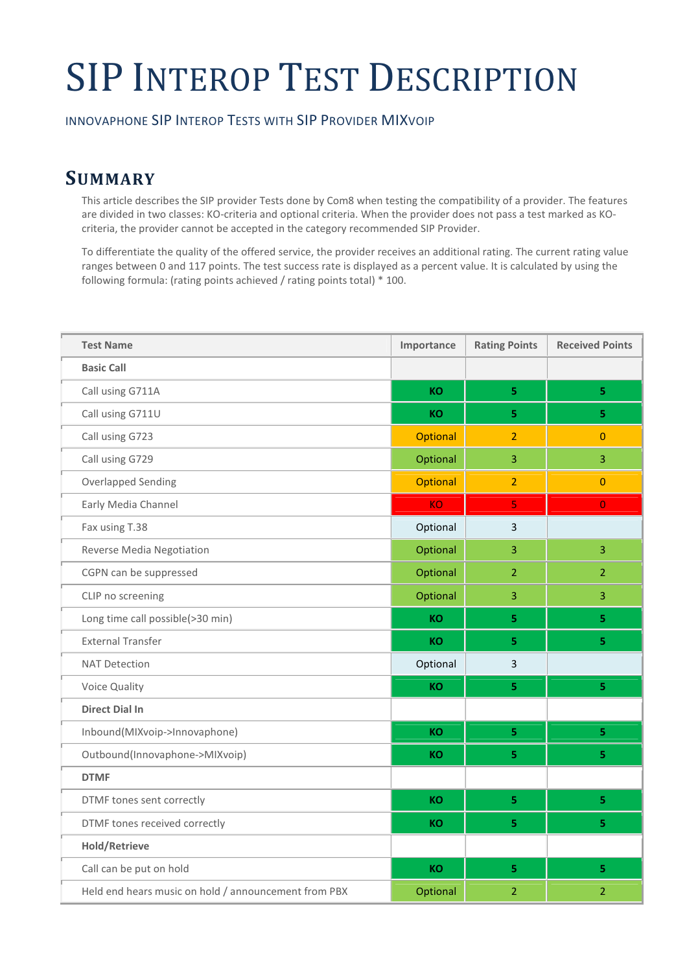# SIP INTEROP TEST DESCRIPTION

INNOVAPHONE SIP INTEROP TESTS WITH SIP PROVIDER MIXVOIP

## SUMMARY

This article describes the SIP provider Tests done by Com8 when testing the compatibility of a provider. The features are divided in two classes: KO-criteria and optional criteria. When the provider does not pass a test marked as KOcriteria, the provider cannot be accepted in the category recommended SIP Provider.

To differentiate the quality of the offered service, the provider receives an additional rating. The current rating value ranges between 0 and 117 points. The test success rate is displayed as a percent value. It is calculated by using the following formula: (rating points achieved / rating points total) \* 100.

| <b>Test Name</b>                                     | Importance      | <b>Rating Points</b> | <b>Received Points</b>  |
|------------------------------------------------------|-----------------|----------------------|-------------------------|
| <b>Basic Call</b>                                    |                 |                      |                         |
| Call using G711A                                     | <b>KO</b>       | 5                    | 5.                      |
| Call using G711U                                     | KO              | 5                    | 5.                      |
| Call using G723                                      | Optional        | $\overline{2}$       | $\Omega$                |
| Call using G729                                      | Optional        | $\overline{3}$       | $\overline{3}$          |
| <b>Overlapped Sending</b>                            | <b>Optional</b> | $\overline{2}$       | $\Omega$                |
| Early Media Channel                                  | <b>KO</b>       | $\overline{5}$       | $\overline{0}$          |
| Fax using T.38                                       | Optional        | $\overline{3}$       |                         |
| Reverse Media Negotiation                            | Optional        | $\overline{3}$       | $\overline{3}$          |
| CGPN can be suppressed                               | Optional        | $\overline{2}$       | $\overline{2}$          |
| CLIP no screening                                    | Optional        | 3                    | $\overline{3}$          |
| Long time call possible(>30 min)                     | <b>KO</b>       | 5                    | $\overline{5}$          |
| <b>External Transfer</b>                             | <b>KO</b>       | 5                    | 5.                      |
| <b>NAT Detection</b>                                 | Optional        | $\overline{3}$       |                         |
| Voice Quality                                        | <b>KO</b>       | 5                    | $\overline{\mathbf{5}}$ |
| <b>Direct Dial In</b>                                |                 |                      |                         |
| Inbound(MIXvoip->Innovaphone)                        | <b>KO</b>       | 5                    | $\overline{\mathbf{5}}$ |
| Outbound(Innovaphone->MIXvoip)                       | <b>KO</b>       | 5 <sup>1</sup>       | 5 <sub>1</sub>          |
| <b>DTMF</b>                                          |                 |                      |                         |
| DTMF tones sent correctly                            | <b>KO</b>       | 5                    | 5.                      |
| DTMF tones received correctly                        | <b>KO</b>       | 5                    | 5.                      |
| <b>Hold/Retrieve</b>                                 |                 |                      |                         |
| Call can be put on hold                              | <b>KO</b>       | 5                    | 5.                      |
| Held end hears music on hold / announcement from PBX | Optional        | $\overline{2}$       | $\overline{2}$          |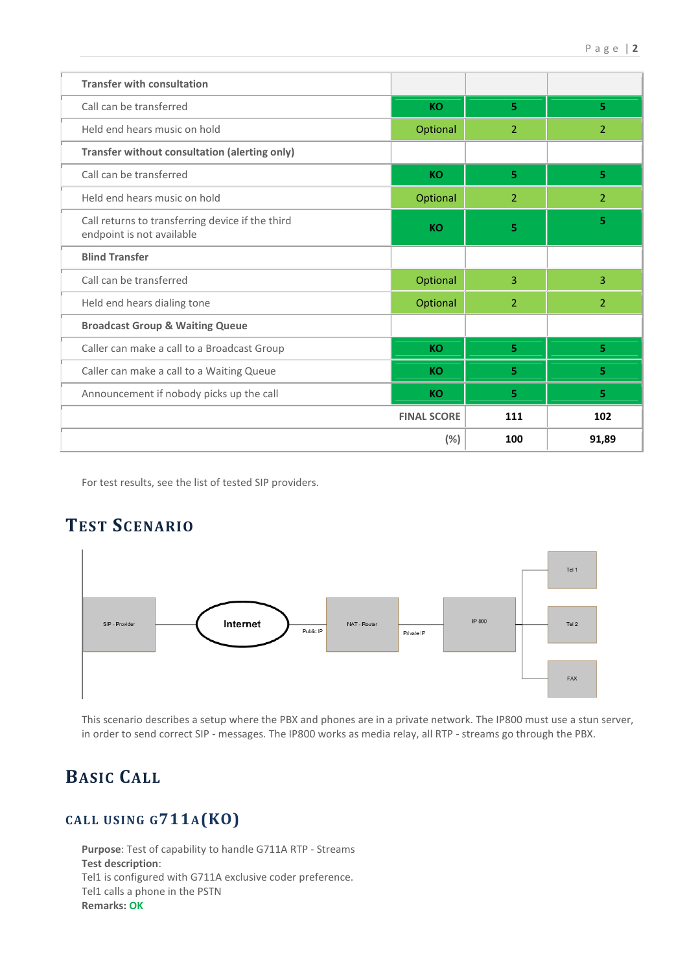| <b>Transfer with consultation</b>                                             |                    |                |                |
|-------------------------------------------------------------------------------|--------------------|----------------|----------------|
| Call can be transferred                                                       | <b>KO</b>          | 5.             | 5.             |
| Held end hears music on hold                                                  | Optional           | $\overline{2}$ | $\overline{2}$ |
| Transfer without consultation (alerting only)                                 |                    |                |                |
| Call can be transferred                                                       | <b>KO</b>          | 5              | 5              |
| Held end hears music on hold                                                  | Optional           | 2              | $\overline{2}$ |
| Call returns to transferring device if the third<br>endpoint is not available | <b>KO</b>          | 5              | 5              |
| <b>Blind Transfer</b>                                                         |                    |                |                |
| Call can be transferred                                                       | Optional           | 3              | 3              |
| Held end hears dialing tone                                                   | Optional           | $\overline{2}$ | $\overline{2}$ |
| <b>Broadcast Group &amp; Waiting Queue</b>                                    |                    |                |                |
| Caller can make a call to a Broadcast Group                                   | <b>KO</b>          | 5              | 5.             |
| Caller can make a call to a Waiting Queue                                     | <b>KO</b>          | 5              | 5.             |
| Announcement if nobody picks up the call                                      | <b>KO</b>          | 5              | 5.             |
|                                                                               | <b>FINAL SCORE</b> | 111            | 102            |
|                                                                               | (%)                | 100            | 91,89          |

For test results, see the list of tested SIP providers.

## TEST SCENARIO



This scenario describes a setup where the PBX and phones are in a private network. The IP800 must use a stun server, in order to send correct SIP - messages. The IP800 works as media relay, all RTP - streams go through the PBX.

## BASIC CALL

## CALL USING G711A(KO)

Purpose: Test of capability to handle G711A RTP - Streams Test description: Tel1 is configured with G711A exclusive coder preference. Tel1 calls a phone in the PSTN Remarks: OK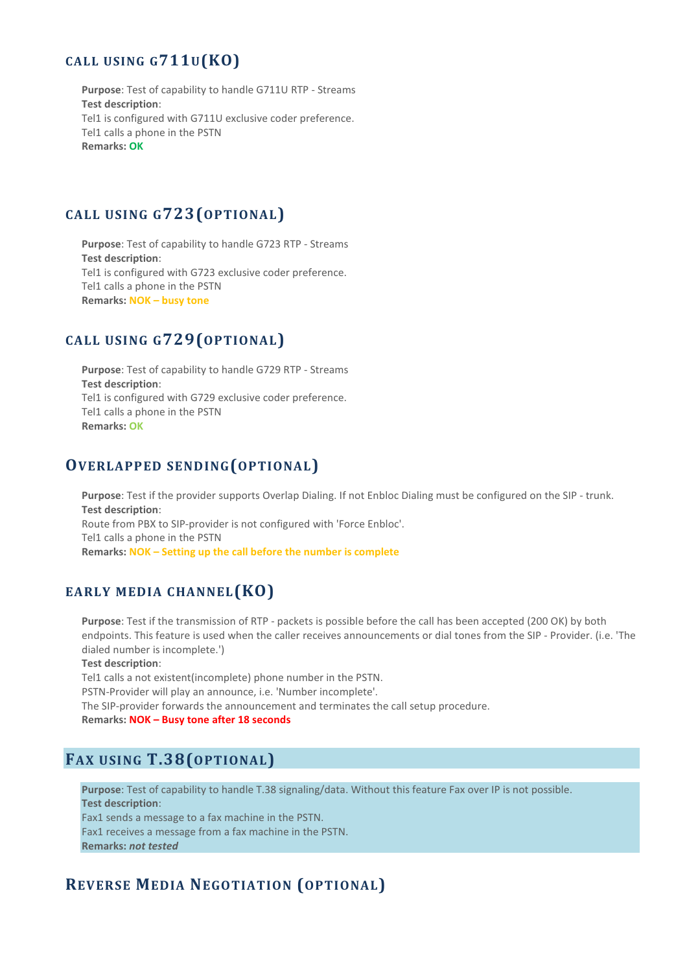#### CALL USING G711U(KO)

Purpose: Test of capability to handle G711U RTP - Streams Test description: Tel1 is configured with G711U exclusive coder preference. Tel1 calls a phone in the PSTN Remarks: OK

#### CALL USING G723(OPTIONAL)

Purpose: Test of capability to handle G723 RTP - Streams Test description: Tel1 is configured with G723 exclusive coder preference. Tel1 calls a phone in the PSTN Remarks: NOK – busy tone

#### CALL USING G729(OPTIONAL)

Purpose: Test of capability to handle G729 RTP - Streams Test description: Tel1 is configured with G729 exclusive coder preference. Tel1 calls a phone in the PSTN Remarks: OK

#### OVERLAPPED SENDING(OPTIONAL)

Purpose: Test if the provider supports Overlap Dialing. If not Enbloc Dialing must be configured on the SIP - trunk. Test description: Route from PBX to SIP-provider is not configured with 'Force Enbloc'. Tel1 calls a phone in the PSTN Remarks: NOK – Setting up the call before the number is complete

#### EARLY MEDIA CHANNEL (KO)

Purpose: Test if the transmission of RTP - packets is possible before the call has been accepted (200 OK) by both endpoints. This feature is used when the caller receives announcements or dial tones from the SIP - Provider. (i.e. 'The dialed number is incomplete.')

Test description:

Tel1 calls a not existent(incomplete) phone number in the PSTN.

PSTN-Provider will play an announce, i.e. 'Number incomplete'.

The SIP-provider forwards the announcement and terminates the call setup procedure.

Remarks: NOK – Busy tone after 18 seconds

#### FAX USING T.38(OPTIONAL)

Purpose: Test of capability to handle T.38 signaling/data. Without this feature Fax over IP is not possible. Test description: Fax1 sends a message to a fax machine in the PSTN. Fax1 receives a message from a fax machine in the PSTN. Remarks: not tested

#### REVERSE MEDIA NEGOTIATION (OPTIONAL)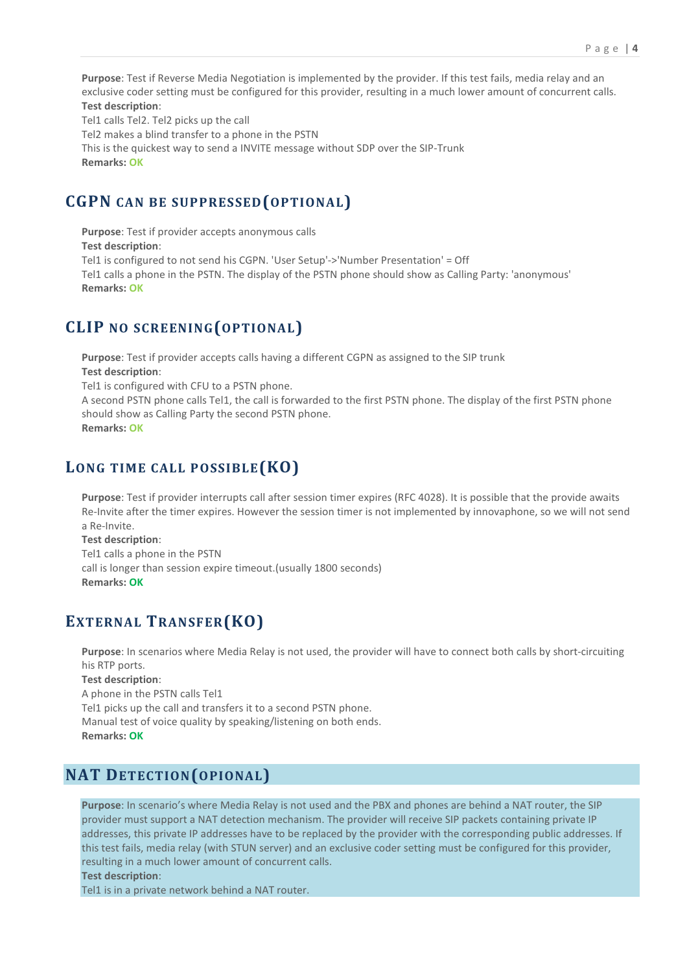Purpose: Test if Reverse Media Negotiation is implemented by the provider. If this test fails, media relay and an exclusive coder setting must be configured for this provider, resulting in a much lower amount of concurrent calls. Test description:

Tel1 calls Tel2. Tel2 picks up the call

Tel2 makes a blind transfer to a phone in the PSTN

This is the quickest way to send a INVITE message without SDP over the SIP-Trunk Remarks: OK

#### CGPN CAN BE SUPPRESSED(OPTIONAL)

Purpose: Test if provider accepts anonymous calls Test description: Tel1 is configured to not send his CGPN. 'User Setup'->'Number Presentation' = Off Tel1 calls a phone in the PSTN. The display of the PSTN phone should show as Calling Party: 'anonymous' Remarks: OK

#### CLIP NO SCREENING(OPTIONAL)

Purpose: Test if provider accepts calls having a different CGPN as assigned to the SIP trunk Test description: Tel1 is configured with CFU to a PSTN phone. A second PSTN phone calls Tel1, the call is forwarded to the first PSTN phone. The display of the first PSTN phone should show as Calling Party the second PSTN phone. Remarks: OK

#### LONG TIME CALL POSSIBLE (KO)

Purpose: Test if provider interrupts call after session timer expires (RFC 4028). It is possible that the provide awaits Re-Invite after the timer expires. However the session timer is not implemented by innovaphone, so we will not send a Re-Invite.

Test description: Tel1 calls a phone in the PSTN call is longer than session expire timeout.(usually 1800 seconds) Remarks: OK

#### EXTERNAL TRANSFER(KO)

Purpose: In scenarios where Media Relay is not used, the provider will have to connect both calls by short-circuiting his RTP ports.

Test description: A phone in the PSTN calls Tel1 Tel1 picks up the call and transfers it to a second PSTN phone. Manual test of voice quality by speaking/listening on both ends. Remarks: OK

#### NAT DETECTION(OPIONAL)

Purpose: In scenario's where Media Relay is not used and the PBX and phones are behind a NAT router, the SIP provider must support a NAT detection mechanism. The provider will receive SIP packets containing private IP addresses, this private IP addresses have to be replaced by the provider with the corresponding public addresses. If this test fails, media relay (with STUN server) and an exclusive coder setting must be configured for this provider, resulting in a much lower amount of concurrent calls.

Test description:

Tel1 is in a private network behind a NAT router.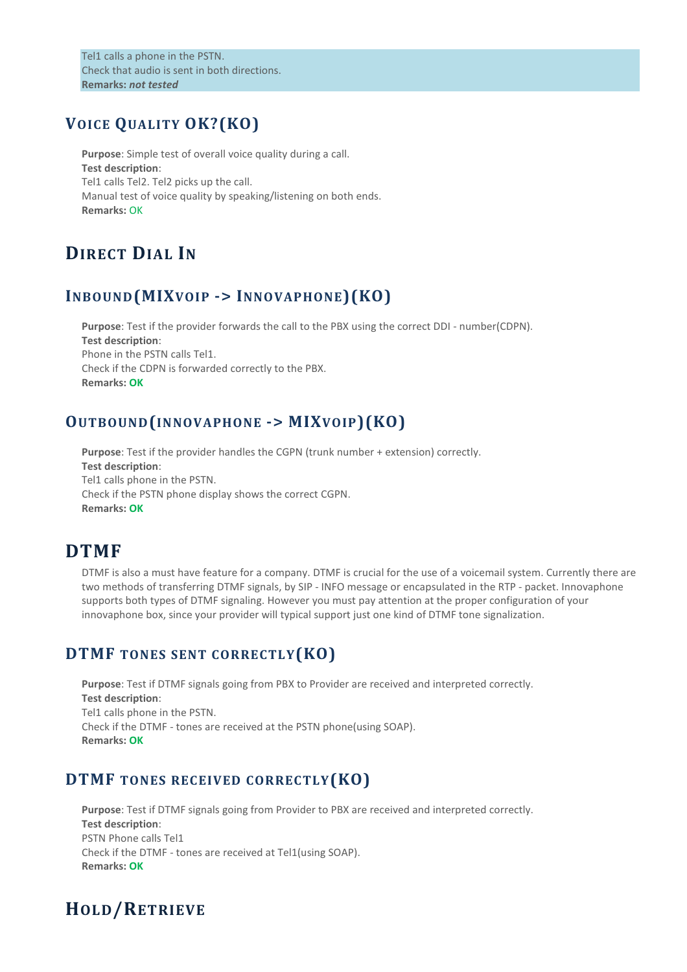Tel1 calls a phone in the PSTN. Check that audio is sent in both directions. Remarks: not tested

#### VOICE QUALITY OK?(KO)

Purpose: Simple test of overall voice quality during a call. Test description: Tel1 calls Tel2. Tel2 picks up the call. Manual test of voice quality by speaking/listening on both ends. Remarks: OK

## DIRECT DIAL IN

#### INBOUND(MIXVOIP -> INNOVAPHONE)(KO)

Purpose: Test if the provider forwards the call to the PBX using the correct DDI - number(CDPN). Test description: Phone in the PSTN calls Tel1. Check if the CDPN is forwarded correctly to the PBX. Remarks: OK

#### OUTBOUND(INNOVAPHONE -> MIXVOIP)(KO)

Purpose: Test if the provider handles the CGPN (trunk number + extension) correctly. Test description: Tel1 calls phone in the PSTN. Check if the PSTN phone display shows the correct CGPN. Remarks: OK

## DTMF

DTMF is also a must have feature for a company. DTMF is crucial for the use of a voicemail system. Currently there are two methods of transferring DTMF signals, by SIP - INFO message or encapsulated in the RTP - packet. Innovaphone supports both types of DTMF signaling. However you must pay attention at the proper configuration of your innovaphone box, since your provider will typical support just one kind of DTMF tone signalization.

#### DTMF TONES SENT CORRECTLY(KO)

Purpose: Test if DTMF signals going from PBX to Provider are received and interpreted correctly. Test description: Tel1 calls phone in the PSTN. Check if the DTMF - tones are received at the PSTN phone(using SOAP). Remarks: OK

#### DTMF TONES RECEIVED CORRECTLY (KO)

Purpose: Test if DTMF signals going from Provider to PBX are received and interpreted correctly. Test description: PSTN Phone calls Tel1 Check if the DTMF - tones are received at Tel1(using SOAP). Remarks: OK

## HOLD/RETRIEVE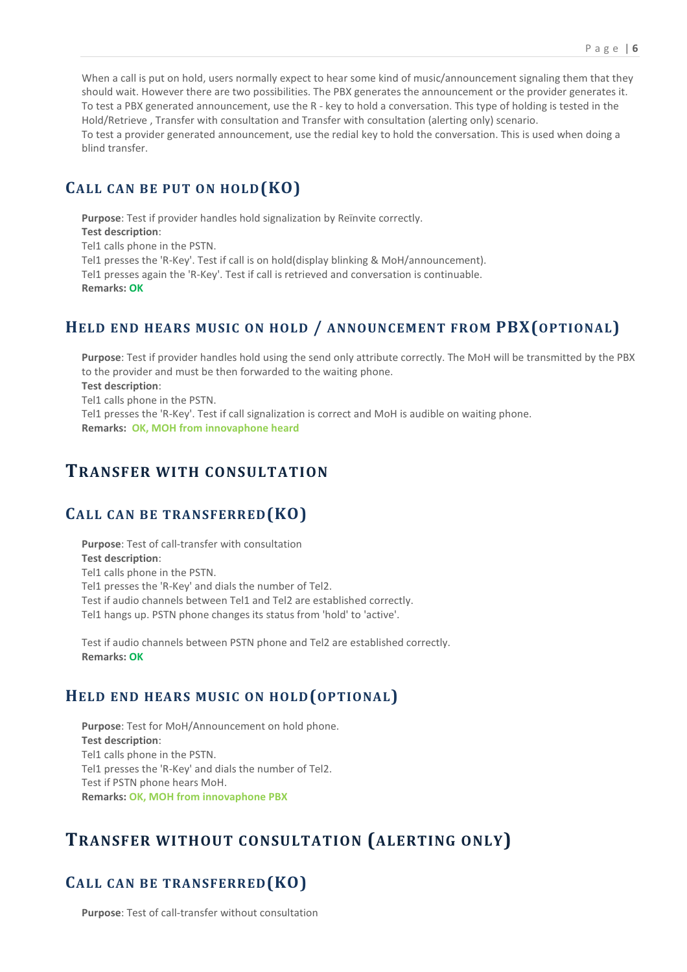When a call is put on hold, users normally expect to hear some kind of music/announcement signaling them that they should wait. However there are two possibilities. The PBX generates the announcement or the provider generates it. To test a PBX generated announcement, use the R - key to hold a conversation. This type of holding is tested in the Hold/Retrieve , Transfer with consultation and Transfer with consultation (alerting only) scenario. To test a provider generated announcement, use the redial key to hold the conversation. This is used when doing a blind transfer.

#### CALL CAN BE PUT ON HOLD(KO)

Purpose: Test if provider handles hold signalization by Reïnvite correctly. Test description: Tel1 calls phone in the PSTN. Tel1 presses the 'R-Key'. Test if call is on hold(display blinking & MoH/announcement). Tel1 presses again the 'R-Key'. Test if call is retrieved and conversation is continuable. Remarks: OK

#### HELD END HEARS MUSIC ON HOLD / ANNOUNCEMENT FROM PBX(OPTIONAL)

Purpose: Test if provider handles hold using the send only attribute correctly. The MoH will be transmitted by the PBX to the provider and must be then forwarded to the waiting phone. Test description: Tel1 calls phone in the PSTN. Tel1 presses the 'R-Key'. Test if call signalization is correct and MoH is audible on waiting phone. Remarks: OK, MOH from innovaphone heard

#### TRANSFER WITH CONSULTATION

#### CALL CAN BE TRANSFERRED(KO)

Purpose: Test of call-transfer with consultation Test description: Tel1 calls phone in the PSTN. Tel1 presses the 'R-Key' and dials the number of Tel2. Test if audio channels between Tel1 and Tel2 are established correctly. Tel1 hangs up. PSTN phone changes its status from 'hold' to 'active'.

Test if audio channels between PSTN phone and Tel2 are established correctly. Remarks: OK

#### HELD END HEARS MUSIC ON HOLD(OPTIONAL)

Purpose: Test for MoH/Announcement on hold phone. Test description: Tel1 calls phone in the PSTN. Tel1 presses the 'R-Key' and dials the number of Tel2. Test if PSTN phone hears MoH. Remarks: OK, MOH from innovaphone PBX

## TRANSFER WITHOUT CONSULTATION (ALERTING ONLY)

#### CALL CAN BE TRANSFERRED(KO)

Purpose: Test of call-transfer without consultation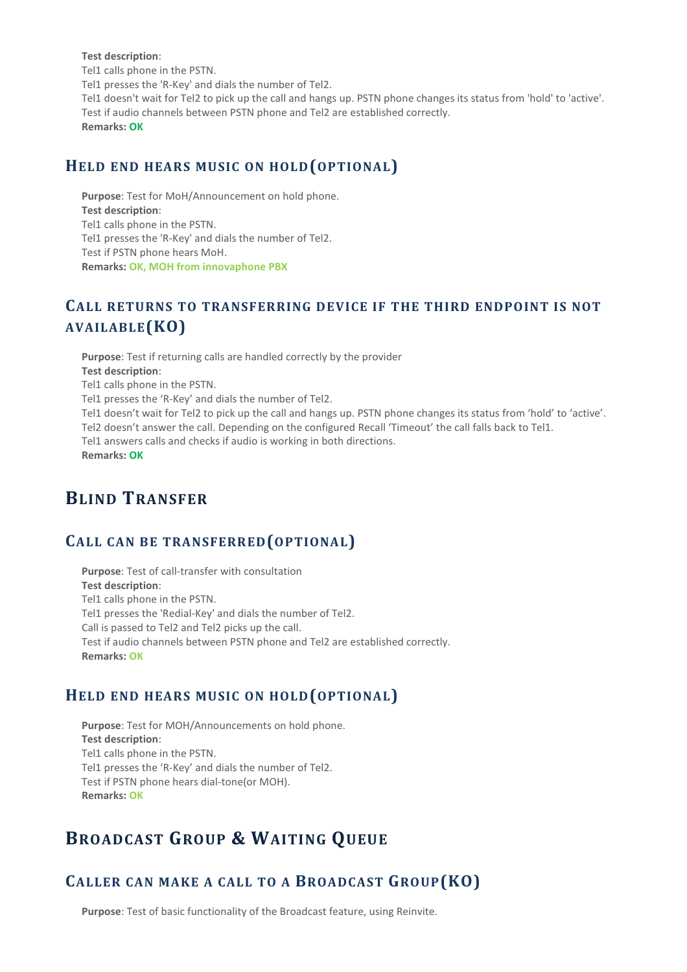#### Test description:

Tel1 calls phone in the PSTN. Tel1 presses the 'R-Key' and dials the number of Tel2. Tel1 doesn't wait for Tel2 to pick up the call and hangs up. PSTN phone changes its status from 'hold' to 'active'. Test if audio channels between PSTN phone and Tel2 are established correctly. Remarks: OK

#### HELD END HEARS MUSIC ON HOLD(OPTIONAL)

Purpose: Test for MoH/Announcement on hold phone. Test description: Tel1 calls phone in the PSTN. Tel1 presses the 'R-Key' and dials the number of Tel2. Test if PSTN phone hears MoH. Remarks: OK, MOH from innovaphone PBX

#### CALL RETURNS TO TRANSFERRING DEVICE IF THE THIRD ENDPOINT IS NOT AVAILABLE(KO)

Purpose: Test if returning calls are handled correctly by the provider Test description: Tel1 calls phone in the PSTN. Tel1 presses the 'R-Key' and dials the number of Tel2. Tel1 doesn't wait for Tel2 to pick up the call and hangs up. PSTN phone changes its status from 'hold' to 'active'. Tel2 doesn't answer the call. Depending on the configured Recall 'Timeout' the call falls back to Tel1. Tel1 answers calls and checks if audio is working in both directions. Remarks: OK

#### BLIND TRANSFER

### CALL CAN BE TRANSFERRED(OPTIONAL)

Purpose: Test of call-transfer with consultation Test description: Tel1 calls phone in the PSTN. Tel1 presses the 'Redial-Key' and dials the number of Tel2. Call is passed to Tel2 and Tel2 picks up the call. Test if audio channels between PSTN phone and Tel2 are established correctly. Remarks: OK

#### HELD END HEARS MUSIC ON HOLD(OPTIONAL)

Purpose: Test for MOH/Announcements on hold phone. Test description: Tel1 calls phone in the PSTN. Tel1 presses the 'R-Key' and dials the number of Tel2. Test if PSTN phone hears dial-tone(or MOH). Remarks: OK

## BROADCAST GROUP & WAITING QUEUE

#### CALLER CAN MAKE A CALL TO A BROADCAST GROUP(KO)

Purpose: Test of basic functionality of the Broadcast feature, using Reinvite.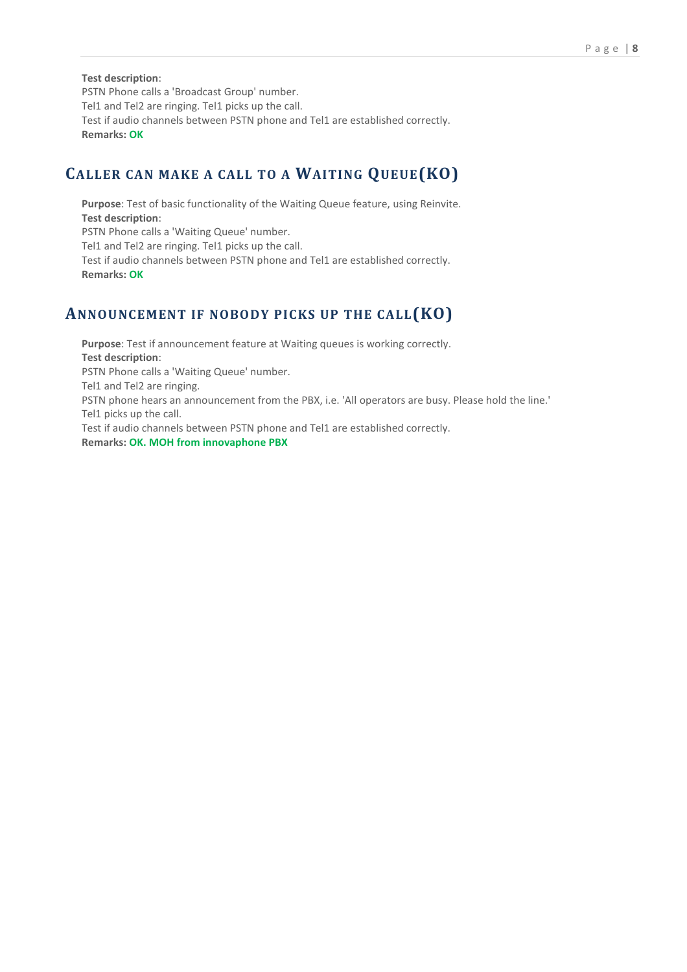#### Test description:

PSTN Phone calls a 'Broadcast Group' number. Tel1 and Tel2 are ringing. Tel1 picks up the call. Test if audio channels between PSTN phone and Tel1 are established correctly. Remarks: OK

#### CALLER CAN MAKE A CALL TO A WAITING QUEUE(KO)

Purpose: Test of basic functionality of the Waiting Queue feature, using Reinvite. Test description: PSTN Phone calls a 'Waiting Queue' number. Tel1 and Tel2 are ringing. Tel1 picks up the call. Test if audio channels between PSTN phone and Tel1 are established correctly. Remarks: OK

#### ANNOUNCEMENT IF NOBODY PICKS UP THE CALL(KO)

Purpose: Test if announcement feature at Waiting queues is working correctly. Test description: PSTN Phone calls a 'Waiting Queue' number. Tel1 and Tel2 are ringing. PSTN phone hears an announcement from the PBX, i.e. 'All operators are busy. Please hold the line.' Tel1 picks up the call. Test if audio channels between PSTN phone and Tel1 are established correctly. Remarks: OK. MOH from innovaphone PBX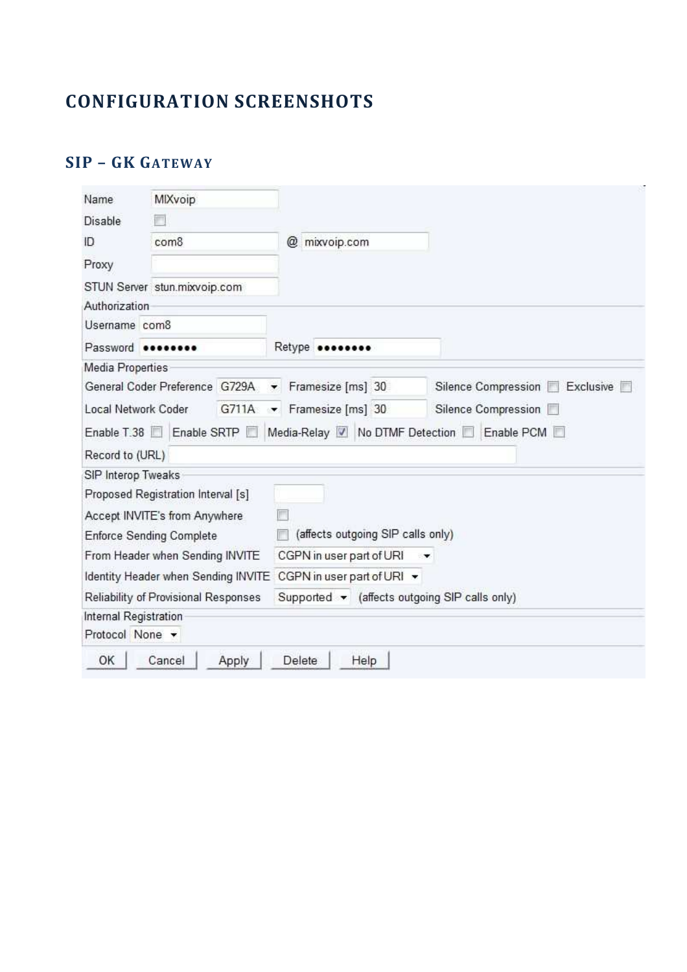# **CONFIGURATION SCREENSHOTS**

## SIP - GK GATEWAY

| Name                                                                          | MIXvoip                              |               |                                               |                                  |
|-------------------------------------------------------------------------------|--------------------------------------|---------------|-----------------------------------------------|----------------------------------|
| Disable                                                                       |                                      |               |                                               |                                  |
| ID<br>com8                                                                    |                                      | @ mixvoip.com |                                               |                                  |
| Proxy                                                                         |                                      |               |                                               |                                  |
|                                                                               | STUN Server stun.mixvoip.com         |               |                                               |                                  |
| Authorization                                                                 |                                      |               |                                               |                                  |
| Username com8                                                                 |                                      |               |                                               |                                  |
| Password <b>essesses</b>                                                      |                                      |               | Retype <b>********</b>                        |                                  |
| Media Properties                                                              |                                      |               |                                               |                                  |
|                                                                               | General Coder Preference G729A       |               | Framesize [ms] 30                             | Silence Compression<br>Exclusive |
| Local Network Coder                                                           |                                      | G711A         | Framesize [ms] 30                             | Silence Compression              |
|                                                                               |                                      |               |                                               |                                  |
|                                                                               | Enable SRTP                          |               | Media-Relay V No DTMF Detection               | Enable PCM                       |
|                                                                               |                                      |               |                                               |                                  |
|                                                                               |                                      |               |                                               |                                  |
|                                                                               | Proposed Registration Interval [s]   |               |                                               |                                  |
|                                                                               | Accept INVITE's from Anywhere        |               |                                               |                                  |
|                                                                               | <b>Enforce Sending Complete</b>      |               | (affects outgoing SIP calls only)             |                                  |
|                                                                               | From Header when Sending INVITE      |               | CGPN in user part of URI                      | $\mathbf{v}$                     |
|                                                                               | Identity Header when Sending INVITE  |               | CGPN in user part of URI *                    |                                  |
|                                                                               | Reliability of Provisional Responses |               | Supported v (affects outgoing SIP calls only) |                                  |
| Enable T.38<br>Record to (URL)<br>SIP Interop Tweaks<br>Internal Registration |                                      |               |                                               |                                  |